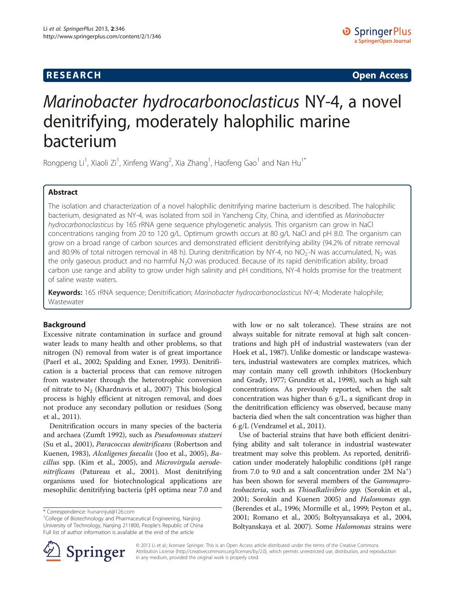# **RESEARCH CHINESE ARCH CHINESE ARCH CHINESE ARCH <b>CHINESE ARCH**

# Marinobacter hydrocarbonoclasticus NY-4, a novel denitrifying, moderately halophilic marine bacterium

Rongpeng Li<sup>1</sup>, Xiaoli Zi<sup>1</sup>, Xinfeng Wang<sup>2</sup>, Xia Zhang<sup>1</sup>, Haofeng Gao<sup>1</sup> and Nan Hu<sup>1\*</sup>

# Abstract

The isolation and characterization of a novel halophilic denitrifying marine bacterium is described. The halophilic bacterium, designated as NY-4, was isolated from soil in Yancheng City, China, and identified as Marinobacter hydrocarbonoclasticus by 16S rRNA gene sequence phylogenetic analysis. This organism can grow in NaCl concentrations ranging from 20 to 120 g/L. Optimum growth occurs at 80 g/L NaCl and pH 8.0. The organism can grow on a broad range of carbon sources and demonstrated efficient denitrifying ability (94.2% of nitrate removal and 80.9% of total nitrogen removal in 48 h). During denitrification by NY-4, no NO<sub>2</sub>-N was accumulated, N<sub>2</sub> was the only gaseous product and no harmful N<sub>2</sub>O was produced. Because of its rapid denitrification ability, broad carbon use range and ability to grow under high salinity and pH conditions, NY-4 holds promise for the treatment of saline waste waters.

Keywords: 16S rRNA sequence; Denitrification; Marinobacter hydrocarbonoclasticus NY-4; Moderate halophile; Wastewater

## Background

Excessive nitrate contamination in surface and ground water leads to many health and other problems, so that nitrogen (N) removal from water is of great importance (Paerl et al., [2002;](#page-8-0) Spalding and Exner, [1993](#page-8-0)). Denitrification is a bacterial process that can remove nitrogen from wastewater through the heterotrophic conversion of nitrate to  $N_2$  (Khardnavis et al., [2007\)](#page-8-0). This biological process is highly efficient at nitrogen removal, and does not produce any secondary pollution or residues (Song et al., [2011](#page-8-0)).

Denitrification occurs in many species of the bacteria and archaea (Zumft [1992](#page-8-0)), such as Pseudomonas stutzeri (Su et al., [2001\)](#page-8-0), Paracoccus denitrificans (Robertson and Kuenen, [1983\)](#page-8-0), Alcaligenes faecalis (Joo et al., [2005\)](#page-8-0), Bacillus spp. (Kim et al., [2005\)](#page-8-0), and Microvirgula aerodenitrificans (Patureau et al., [2001](#page-8-0)). Most denitrifying organisms used for biotechnological applications are mesophilic denitrifying bacteria (pH optima near 7.0 and

<sup>1</sup>College of Biotechnology and Pharmaceutical Engineering, Nanjing University of Technology, Nanjing 211800, People's Republic of China Full list of author information is available at the end of the article

with low or no salt tolerance). These strains are not always suitable for nitrate removal at high salt concentrations and high pH of industrial wastewaters (van der Hoek et al., [1987](#page-8-0)). Unlike domestic or landscape wastewaters, industrial wastewaters are complex matrices, which may contain many cell growth inhibitors (Hockenbury and Grady, [1977](#page-7-0); Grunditz et al., [1998\)](#page-7-0), such as high salt concentrations. As previously reported, when the salt concentration was higher than 6 g/L, a significant drop in the denitrification efficiency was observed, because many bacteria died when the salt concentration was higher than 6 g/L (Vendramel et al., [2011](#page-8-0)).

Use of bacterial strains that have both efficient denitrifying ability and salt tolerance in industrial wastewater treatment may solve this problem. As reported, denitrification under moderately halophilic conditions (pH range from 7.0 to 9.0 and a salt concentration under 2M Na<sup>+</sup>) has been shown for several members of the Gammaproteobacteria, such as Thioalkalivibrio spp. (Sorokin et al., [2001](#page-8-0); Sorokin and Kuenen [2005\)](#page-8-0) and Halomonas spp. (Berendes et al., [1996](#page-7-0); Mormille et al., [1999](#page-8-0); Peyton et al., [2001](#page-8-0); Romano et al., [2005;](#page-8-0) Boltyyansakaya et al., [2004](#page-7-0), Boltyanskaya et al. [2007\)](#page-7-0). Some Halomonas strains were



© 2013 Li et al.; licensee Springer. This is an Open Access article distributed under the terms of the Creative Commons Attribution License [\(http://creativecommons.org/licenses/by/2.0\)](http://creativecommons.org/licenses/by/2.0), which permits unrestricted use, distribution, and reproduction in any medium, provided the original work is properly cited.

<sup>\*</sup> Correspondence: [hunannjut@126.com](mailto:hunannjut@126.com) <sup>1</sup>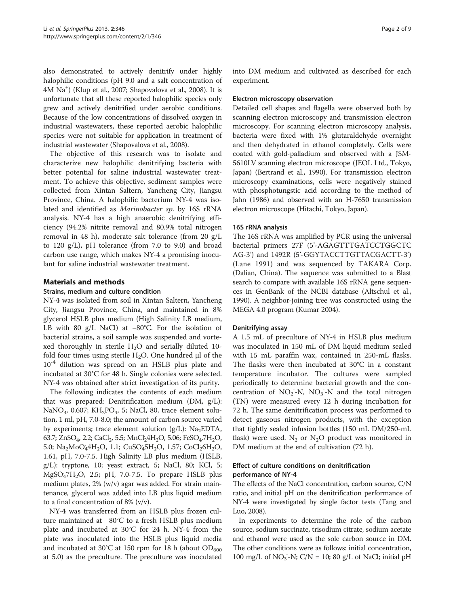also demonstrated to actively denitrify under highly halophilic conditions (pH 9.0 and a salt concentration of 4M Na+ ) (Klup et al., [2007](#page-8-0); Shapovalova et al., [2008\)](#page-8-0). It is unfortunate that all these reported halophilic species only grew and actively denitrified under aerobic conditions. Because of the low concentrations of dissolved oxygen in industrial wastewaters, these reported aerobic halophilic species were not suitable for application in treatment of industrial wastewater (Shapovalova et al., [2008](#page-8-0)).

The objective of this research was to isolate and characterize new halophilic denitrifying bacteria with better potential for saline industrial wastewater treatment. To achieve this objective, sediment samples were collected from Xintan Saltern, Yancheng City, Jiangsu Province, China. A halophilic bacterium NY-4 was isolated and identified as Marinobacter sp. by 16S rRNA analysis. NY-4 has a high anaerobic denitrifying efficiency (94.2% nitrite removal and 80.9% total nitrogen removal in 48 h), moderate salt tolerance (from 20 g/L to 120  $g/L$ ), pH tolerance (from 7.0 to 9.0) and broad carbon use range, which makes NY-4 a promising inoculant for saline industrial wastewater treatment.

## Materials and methods

## Strains, medium and culture condition

NY-4 was isolated from soil in Xintan Saltern, Yancheng City, Jiangsu Province, China, and maintained in 8% glycerol HSLB plus medium (High Salinity LB medium, LB with 80 g/L NaCl) at −80°C. For the isolation of bacterial strains, a soil sample was suspended and vortexed thoroughly in sterile  $H<sub>2</sub>O$  and serially diluted 10fold four times using sterile  $H_2O$ . One hundred μl of the  $10^{-4}$  dilution was spread on an HSLB plus plate and incubated at 30°C for 48 h. Single colonies were selected. NY-4 was obtained after strict investigation of its purity.

The following indicates the contents of each medium that was prepared: Denitrification medium (DM, g/L): NaNO<sub>3</sub>, 0.607; KH<sub>2</sub>PO<sub>4</sub>, 5; NaCl, 80, trace element solution, 1 ml, pH, 7.0-8.0; the amount of carbon source varied by experiments; trace element solution  $(g/L)$ : Na<sub>2</sub>EDTA, 63.7; ZnSO<sub>4</sub>, 2.2; CaCl<sub>2</sub>, 5.5; MnCl<sub>2</sub>4H<sub>2</sub>O, 5.06; FeSO<sub>4</sub>.7H<sub>2</sub>O, 5.0; Na<sub>2</sub>MoO<sub>4</sub>4H<sub>2</sub>O, 1.1; CuSO<sub>4</sub>5H<sub>2</sub>O, 1.57; CoCl<sub>2</sub>6H<sub>2</sub>O, 1.61, pH, 7.0-7.5. High Salinity LB plus medium (HSLB, g/L): tryptone, 10; yeast extract, 5; NaCl, 80; KCl, 5; MgSO<sub>4</sub>7H<sub>2</sub>O, 2.5; pH, 7.0-7.5. To prepare HSLB plus medium plates, 2% (w/v) agar was added. For strain maintenance, glycerol was added into LB plus liquid medium to a final concentration of  $8\%$  (v/v).

NY-4 was transferred from an HSLB plus frozen culture maintained at −80°C to a fresh HSLB plus medium plate and incubated at 30°C for 24 h. NY-4 from the plate was inoculated into the HSLB plus liquid media and incubated at 30°C at 150 rpm for 18 h (about  $OD_{600}$ at 5.0) as the preculture. The preculture was inoculated into DM medium and cultivated as described for each experiment.

#### Electron microscopy observation

Detailed cell shapes and flagella were observed both by scanning electron microscopy and transmission electron microscopy. For scanning electron microscopy analysis, bacteria were fixed with 1% glutaraldehyde overnight and then dehydrated in ethanol completely. Cells were coated with gold-palladium and observed with a JSM-5610LV scanning electron microscope (JEOL Ltd., Tokyo, Japan) (Bertrand et al., [1990](#page-7-0)). For transmission electron microscopy examinations, cells were negatively stained with phosphotungstic acid according to the method of Jahn [\(1986](#page-7-0)) and observed with an H-7650 transmission electron microscope (Hitachi, Tokyo, Japan).

#### 16S rRNA analysis

The 16S rRNA was amplified by PCR using the universal bacterial primers 27F (5'-AGAGTTTGATCCTGGCTC AG-3') and 1492R (5'-GGYTACCTTGTTACGACTT-3') (Lane [1991\)](#page-8-0) and was sequenced by TAKARA Corp. (Dalian, China). The sequence was submitted to a Blast search to compare with available 16S rRNA gene sequences in GenBank of the NCBI database (Altschul et al., [1990](#page-7-0)). A neighbor-joining tree was constructed using the MEGA 4.0 program (Kumar [2004\)](#page-8-0).

## Denitrifying assay

A 1.5 mL of preculture of NY-4 in HSLB plus medium was inoculated in 150 mL of DM liquid medium sealed with 15 mL paraffin wax, contained in 250-mL flasks. The flasks were then incubated at 30°C in a constant temperature incubator. The cultures were sampled periodically to determine bacterial growth and the concentration of  $NO_2^-$ -N,  $NO_3^-$ -N and the total nitrogen (TN) were measured every 12 h during incubation for 72 h. The same denitrification process was performed to detect gaseous nitrogen products, with the exception that tightly sealed infusion bottles (150 mL DM/250-mL flask) were used.  $N_2$  or  $N_2O$  product was monitored in DM medium at the end of cultivation (72 h).

## Effect of culture conditions on denitrification performance of NY-4

The effects of the NaCl concentration, carbon source, C/N ratio, and initial pH on the denitrification performance of NY-4 were investigated by single factor tests (Tang and Luo, [2008\)](#page-8-0).

In experiments to determine the role of the carbon source, sodium succinate, trisodium citrate, sodium acetate and ethanol were used as the sole carbon source in DM. The other conditions were as follows: initial concentration, 100 mg/L of NO<sub>3</sub>-N;  $C/N = 10$ ; 80 g/L of NaCl; initial pH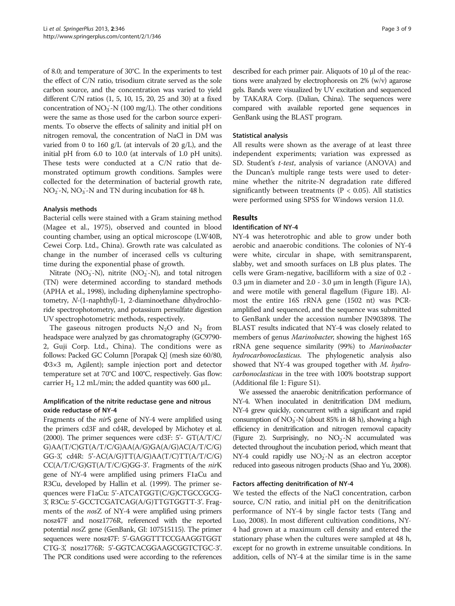of 8.0; and temperature of 30°C. In the experiments to test the effect of C/N ratio, trisodium citrate served as the sole carbon source, and the concentration was varied to yield different C/N ratios (1, 5, 10, 15, 20, 25 and 30) at a fixed concentration of NO<sub>3</sub>-N (100 mg/L). The other conditions were the same as those used for the carbon source experiments. To observe the effects of salinity and initial pH on nitrogen removal, the concentration of NaCl in DM was varied from 0 to 160  $g/L$  (at intervals of 20  $g/L$ ), and the initial pH from 6.0 to 10.0 (at intervals of 1.0 pH units). These tests were conducted at a C/N ratio that demonstrated optimum growth conditions. Samples were collected for the determination of bacterial growth rate, NO<sub>2</sub>-N, NO<sub>3</sub>-N and TN during incubation for 48 h.

# Analysis methods

Bacterial cells were stained with a Gram staining method (Magee et al., [1975\)](#page-8-0), observed and counted in blood counting chamber, using an optical microscope (LW40B, Cewei Corp. Ltd., China). Growth rate was calculated as change in the number of incerased cells vs culturing time during the exponential phase of growth.

Nitrate ( $NO<sub>3</sub>$ -N), nitrite ( $NO<sub>2</sub>$ -N), and total nitrogen (TN) were determined according to standard methods (APHA et al., [1998](#page-7-0)), including diphenylamine spectrophotometry, N-(1-naphthyl)-1, 2-diaminoethane dihydrochloride spectrophotometry, and potassium persulfate digestion UV spectrophotometric methods, respectively.

The gaseous nitrogen products  $N_2O$  and  $N_2$  from headspace were analyzed by gas chromatography (GC9790- 2, Guji Corp. Ltd., China). The conditions were as follows: Packed GC Column [Porapak Q] (mesh size 60/80, Φ3×3 m, Agilent); sample injection port and detector temperature set at 70°C and 100°C, respectively. Gas flow: carrier H<sub>2</sub> 1.2 mL/min; the added quantity was 600 µL.

# Amplification of the nitrite reductase gene and nitrous oxide reductase of NY-4

Fragments of the nirS gene of NY-4 were amplified using the primers cd3F and cd4R, developed by Michotey et al. ([2000\)](#page-8-0). The primer sequences were cd3F: 5'- GT(A/T/C/ G)AA(T/C)GT(A/T/C/G)AA(A/G)GA(A/G)AC(A/T/C/G) GG-3', cd4R:  $5'$ -AC(A/G)TT(A/G)AA(T/C)TT(A/T/C/G)  $CC(A/T/C/G)GT(A/T/C/G)GG-3'$ . Fragments of the *nir*K gene of NY-4 were amplified using primers F1aCu and R3Cu, developed by Hallin et al. [\(1999](#page-7-0)). The primer sequences were F1aCu: 5'-ATCATGGT(C/G)CTGCCGCG-3', R3Cu: 5'-GCCTCGATCAG(A/G)TTGTGGTT-3'. Fragments of the nosZ of NY-4 were amplified using primers nosz47F and nosz1776R, referenced with the reported potential nosZ gene (GenBank, GI: 107515115). The primer sequences were nosz47F: 5'-GAGGTTTCCGAAGGTGGT CTG-3, nosz1776R: 5'-GGTCACGGAAGCGGTCTGC-3'. The PCR conditions used were according to the references described for each primer pair. Aliquots of 10 μl of the reactions were analyzed by electrophoresis on 2% (w/v) agarose gels. Bands were visualized by UV excitation and sequenced by TAKARA Corp. (Dalian, China). The sequences were compared with available reported gene sequences in GenBank using the BLAST program.

# Statistical analysis

All results were shown as the average of at least three independent experiments; variation was expressed as SD. Student's t-test, analysis of variance (ANOVA) and the Duncan's multiple range tests were used to determine whether the nitrite-N degradation rate differed significantly between treatments ( $P < 0.05$ ). All statistics were performed using SPSS for Windows version 11.0.

# Results

## Identification of NY-4

NY-4 was heterotrophic and able to grow under both aerobic and anaerobic conditions. The colonies of NY-4 were white, circular in shape, with semitransparent, slabby, wet and smooth surfaces on LB plus plates. The cells were Gram-negative, bacilliform with a size of 0.2 - 0.3 μm in diameter and 2.0 - 3.0 μm in length (Figure [1](#page-3-0)A), and were motile with general flagellum (Figure [1](#page-3-0)B). Almost the entire 16S rRNA gene (1502 nt) was PCRamplified and sequenced, and the sequence was submitted to GenBank under the accession number JN903898. The BLAST results indicated that NY-4 was closely related to members of genus *Marinobacter*, showing the highest 16S rRNA gene sequence similarity (99%) to Marinobacter hydrocarbonoclasticus. The phylogenetic analysis also showed that NY-4 was grouped together with M. hydrocarbonoclasticus in the tree with 100% bootstrap support (Additional file [1](#page-7-0): Figure S1).

We assessed the anaerobic denitrification performance of NY-4. When inoculated in denitrification DM medium, NY-4 grew quickly, concurrent with a significant and rapid consumption of NO<sub>3</sub>-N (about 85% in 48 h), showing a high efficiency in denitrification and nitrogen removal capacity (Figure [2](#page-3-0)). Surprisingly, no  $NO<sub>2</sub> - N$  accumulated was detected throughout the incubation period, which meant that NY-4 could rapidly use NO<sub>2</sub>-N as an electron acceptor reduced into gaseous nitrogen products (Shao and Yu, [2008](#page-8-0)).

## Factors affecting denitrification of NY-4

We tested the effects of the NaCl concentration, carbon source, C/N ratio, and initial pH on the denitrification performance of NY-4 by single factor tests (Tang and Luo, [2008\)](#page-8-0). In most different cultivation conditions, NY-4 had grown at a maximum cell density and entered the stationary phase when the cultures were sampled at 48 h, except for no growth in extreme unsuitable conditions. In addition, cells of NY-4 at the similar time is in the same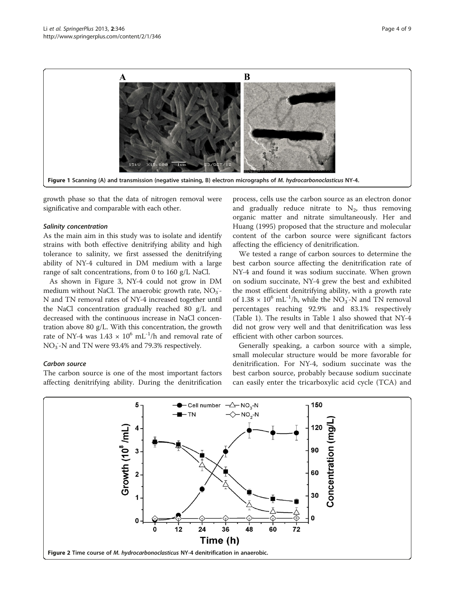<span id="page-3-0"></span>

growth phase so that the data of nitrogen removal were significative and comparable with each other.

#### Salinity concentration

As the main aim in this study was to isolate and identify strains with both effective denitrifying ability and high tolerance to salinity, we first assessed the denitrifying ability of NY-4 cultured in DM medium with a large range of salt concentrations, from 0 to 160 g/L NaCl.

As shown in Figure [3,](#page-4-0) NY-4 could not grow in DM medium without NaCl. The anaerobic growth rate, NO<sub>3</sub>-N and TN removal rates of NY-4 increased together until the NaCl concentration gradually reached 80 g/L and decreased with the continuous increase in NaCl concentration above 80 g/L. With this concentration, the growth rate of NY-4 was  $1.43 \times 10^6$  mL<sup>-1</sup>/h and removal rate of NO<sub>3</sub>-N and TN were 93.4% and 79.3% respectively.

#### Carbon source

The carbon source is one of the most important factors affecting denitrifying ability. During the denitrification

process, cells use the carbon source as an electron donor and gradually reduce nitrate to  $N_2$ , thus removing organic matter and nitrate simultaneously. Her and Huang [\(1995\)](#page-7-0) proposed that the structure and molecular content of the carbon source were significant factors affecting the efficiency of denitrification.

We tested a range of carbon sources to determine the best carbon source affecting the denitrification rate of NY-4 and found it was sodium succinate. When grown on sodium succinate, NY-4 grew the best and exhibited the most efficient denitrifying ability, with a growth rate of  $1.38 \times 10^6$  mL<sup>-1</sup>/h, while the NO<sub>3</sub>-N and TN removal percentages reaching 92.9% and 83.1% respectively (Table [1\)](#page-4-0). The results in Table [1](#page-4-0) also showed that NY-4 did not grow very well and that denitrification was less efficient with other carbon sources.

Generally speaking, a carbon source with a simple, small molecular structure would be more favorable for denitrification. For NY-4, sodium succinate was the best carbon source, probably because sodium succinate can easily enter the tricarboxylic acid cycle (TCA) and

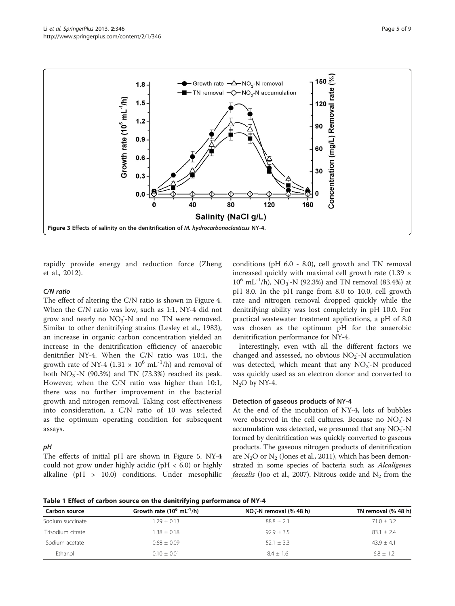<span id="page-4-0"></span>

rapidly provide energy and reduction force (Zheng et al., [2012\)](#page-8-0).

#### C/N ratio

The effect of altering the C/N ratio is shown in Figure [4](#page-5-0). When the C/N ratio was low, such as 1:1, NY-4 did not grow and nearly no  $NO<sub>3</sub><sup>-</sup>N$  and no TN were removed. Similar to other denitrifying strains (Lesley et al., [1983](#page-8-0)), an increase in organic carbon concentration yielded an increase in the denitrification efficiency of anaerobic denitrifier NY-4. When the C/N ratio was 10:1, the growth rate of NY-4 (1.31  $\times$  10<sup>6</sup> mL<sup>-1</sup>/h) and removal of both  $NO_3^-$ -N (90.3%) and TN (73.3%) reached its peak. However, when the C/N ratio was higher than 10:1, there was no further improvement in the bacterial growth and nitrogen removal. Taking cost effectiveness into consideration, a C/N ratio of 10 was selected as the optimum operating condition for subsequent assays.

#### pH

The effects of initial pH are shown in Figure [5](#page-5-0). NY-4 could not grow under highly acidic ( $pH < 6.0$ ) or highly alkaline (pH > 10.0) conditions. Under mesophilic

conditions (pH 6.0 - 8.0), cell growth and TN removal increased quickly with maximal cell growth rate  $(1.39 \times$  $10^6$  mL<sup>-1</sup>/h), NO<sub>3</sub>-N (92.3%) and TN removal (83.4%) at pH 8.0. In the pH range from 8.0 to 10.0, cell growth rate and nitrogen removal dropped quickly while the denitrifying ability was lost completely in pH 10.0. For practical wastewater treatment applications, a pH of 8.0 was chosen as the optimum pH for the anaerobic denitrification performance for NY-4.

Interestingly, even with all the different factors we changed and assessed, no obvious  $NO<sub>2</sub> - N$  accumulation was detected, which meant that any  $NO<sub>2</sub> - N$  produced was quickly used as an electron donor and converted to  $N<sub>2</sub>O$  by NY-4.

#### Detection of gaseous products of NY-4

At the end of the incubation of NY-4, lots of bubbles were observed in the cell cultures. Because no  $NO<sub>2</sub> - N$ accumulation was detected, we presumed that any  $NO<sub>2</sub> - N$ formed by denitrification was quickly converted to gaseous products. The gaseous nitrogen products of denitrification are  $N_2O$  or  $N_2$  (Jones et al., [2011\)](#page-7-0), which has been demonstrated in some species of bacteria such as Alcaligenes *faecalis* (Joo et al., [2007\)](#page-8-0). Nitrous oxide and  $N_2$  from the

Table 1 Effect of carbon source on the denitrifying performance of NY-4

| Carbon source     | Growth rate $(10^6 \text{ mL}^{-1}/\text{h})$ | $NO3$ -N removal (% 48 h) | TN removal (% 48 h) |
|-------------------|-----------------------------------------------|---------------------------|---------------------|
| Sodium succinate  | $.29 + 0.13$                                  | $88.8 + 2.1$              | $71.0 + 3.2$        |
| Trisodium citrate | $.38 + 0.18$                                  | $92.9 + 3.5$              | $83.1 + 2.4$        |
| Sodium acetate    | $0.68 + 0.09$                                 | $52.1 + 3.3$              | $43.9 + 4.1$        |
| Fthanol           | $0.10 + 0.01$                                 | $8.4 + 1.6$               | $6.8 + 1.2$         |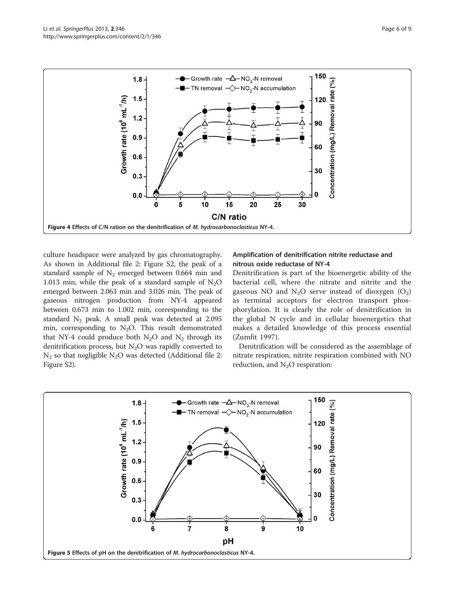

<span id="page-5-0"></span>

culture headspace were analyzed by gas chromatography. As shown in Additional file [2](#page-7-0): Figure S2, the peak of a standard sample of  $N_2$  emerged between 0.664 min and 1.013 min, while the peak of a standard sample of  $N_2O$ emerged between 2.063 min and 3.026 min. The peak of gaseous nitrogen production from NY-4 appeared between 0.673 min to 1.002 min, corresponding to the standard  $N_2$  peak. A small peak was detected at 2.095 min, corresponding to  $N_2O$ . This result demonstrated that NY-4 could produce both  $N_2O$  and  $N_2$  through its denitrification process, but  $N_2O$  was rapidly converted to  $N_2$  so that negligible  $N_2O$  was detected (Additional file [2](#page-7-0): Figure S2).

## Amplification of denitrification nitrite reductase and nitrous oxide reductase of NY-4

Denitrification is part of the bioenergetic ability of the bacterial cell, where the nitrate and nitrite and the gaseous NO and  $N_2O$  serve instead of dioxygen  $(O_2)$ as terminal acceptors for electron transport phosphorylation. It is clearly the role of denitrification in the global N cycle and in cellular bioenergetics that makes a detailed knowledge of this process essential (Zumfit [1997](#page-8-0)).

Denitrification will be considered as the assemblage of nitrate respiration, nitrite respiration combined with NO reduction, and  $N_2O$  respiration:

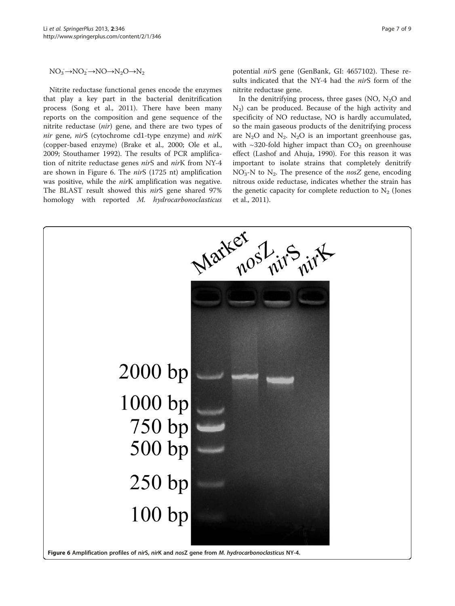<span id="page-6-0"></span> $NO_3 \rightarrow NO_2 \rightarrow NO \rightarrow N_2O \rightarrow N_2$ 

Nitrite reductase functional genes encode the enzymes that play a key part in the bacterial denitrification process (Song et al., [2011\)](#page-8-0). There have been many reports on the composition and gene sequence of the nitrite reductase (nir) gene, and there are two types of nir gene, nirS (cytochrome cd1-type enzyme) and nirK (copper-based enzyme) (Brake et al., [2000](#page-7-0); Ole et al., [2009](#page-8-0); Stouthamer [1992](#page-8-0)). The results of PCR amplification of nitrite reductase genes nirS and nirK from NY-4 are shown in Figure 6. The nirS (1725 nt) amplification was positive, while the *nir*K amplification was negative. The BLAST result showed this nirS gene shared 97% homology with reported M. hydrocarbonoclasticus potential nirS gene (GenBank, GI: 4657102). These results indicated that the NY-4 had the nirS form of the nitrite reductase gene.

In the denitrifying process, three gases (NO,  $N_2O$  and  $N_2$ ) can be produced. Because of the high activity and specificity of NO reductase, NO is hardly accumulated, so the main gaseous products of the denitrifying process are  $N_2O$  and  $N_2$ .  $N_2O$  is an important greenhouse gas, with  $\sim$ 320-fold higher impact than  $CO<sub>2</sub>$  on greenhouse effect (Lashof and Ahuja, [1990\)](#page-8-0). For this reason it was important to isolate strains that completely denitrify  $NO<sub>3</sub>$ -N to  $N<sub>2</sub>$ . The presence of the nosZ gene, encoding nitrous oxide reductase, indicates whether the strain has the genetic capacity for complete reduction to  $N_2$  (Jones et al., [2011](#page-7-0)).

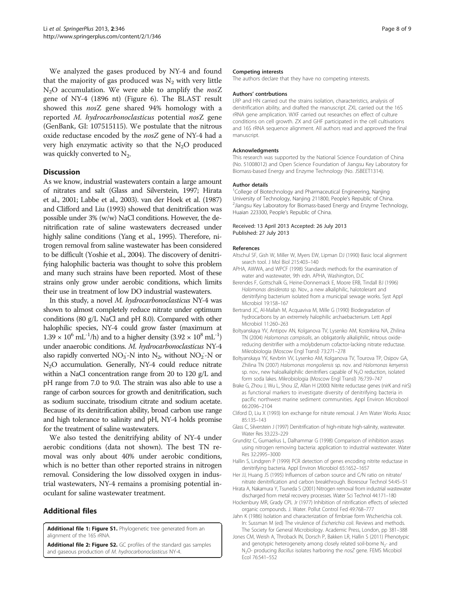<span id="page-7-0"></span>We analyzed the gases produced by NY-4 and found that the majority of gas produced was  $N_2$  with very little  $N_2O$  accumulation. We were able to amplify the nosZ gene of NY-4 (1896 nt) (Figure [6\)](#page-6-0). The BLAST result showed this nosZ gene shared 94% homology with a reported M. hydrocarbonoclasticus potential nosZ gene (GenBank, GI: 107515115). We postulate that the nitrous oxide reductase encoded by the  $nosZ$  gene of NY-4 had a very high enzymatic activity so that the  $N_2O$  produced was quickly converted to  $N_2$ .

#### **Discussion**

As we know, industrial wastewaters contain a large amount of nitrates and salt (Glass and Silverstein, 1997; Hirata et al., 2001; Labbe et al., [2003](#page-8-0)). van der Hoek et al. [\(1987](#page-8-0)) and Clifford and Liu (1993) showed that denitrification was possible under 3% (w/w) NaCl conditions. However, the denitrification rate of saline wastewaters decreased under highly saline conditions (Yang et al., [1995](#page-8-0)). Therefore, nitrogen removal from saline wastewater has been considered to be difficult (Yoshie et al., [2004\)](#page-8-0). The discovery of denitrifying halophilic bacteria was thought to solve this problem and many such strains have been reported. Most of these strains only grow under aerobic conditions, which limits their use in treatment of low DO industrial wastewaters.

In this study, a novel M. hydrocarbonoclasticus NY-4 was shown to almost completely reduce nitrate under optimum conditions (80 g/L NaCl and pH 8.0). Compared with other halophilic species, NY-4 could grow faster (maximum at  $1.39 \times 10^{6}$  mL<sup>-1</sup>/h) and to a higher density  $(3.92 \times 10^{8}$  mL<sup>-1</sup>) under anaerobic conditions. M. hydrocarbonoclasticus NY-4 also rapidly converted  $NO_3^-$ -N into  $N_2$ , without  $NO_2^-$ -N or N<sub>2</sub>O accumulation. Generally, NY-4 could reduce nitrate within a NaCl concentration range from 20 to 120 g/L and pH range from 7.0 to 9.0. The strain was also able to use a range of carbon sources for growth and denitrification, such as sodium succinate, trisodium citrate and sodium acetate. Because of its denitrification ability, broad carbon use range and high tolerance to salinity and pH, NY-4 holds promise for the treatment of saline wastewaters.

We also tested the denitrifying ability of NY-4 under aerobic conditions (data not shown). The best TN removal was only about 40% under aerobic conditions, which is no better than other reported strains in nitrogen removal. Considering the low dissolved oxygen in industrial wastewaters, NY-4 remains a promising potential inoculant for saline wastewater treatment.

# Additional files

[Additional file 1: Figure S1.](http://www.biomedcentral.com/content/supplementary/2193-1801-2-346-S1.tiff) Phylogenetic tree generated from an alignment of the 16S rRNA.

[Additional file 2: Figure S2.](http://www.biomedcentral.com/content/supplementary/2193-1801-2-346-S2.tiff) GC profiles of the standard gas samples and gaseous production of M. hydrocarbonoclasticus NY-4.

#### Competing interests

The authors declare that they have no competing interests.

#### Authors' contrbutions

LRP and HN carried out the strains isolation, characteristics, analysis of denitrification ability, and drafted the manuscript. ZXL carried out the 16S rRNA gene amplication. WXF carried out researches on effect of culture conditions on cell growth. ZX and GHF participated in the cell cultivations and 16S rRNA sequence alignment. All authors read and approved the final manuscript.

#### Acknowledgments

This research was supported by the National Science Foundation of China (No. 51008012) and Open Science Foundation of Jiangsu Key Laboratory for Biomass-based Energy and Enzyme Technology (No. JSBEET1314).

#### Author details

<sup>1</sup>College of Biotechnology and Pharmaceutical Engineering, Nanjing University of Technology, Nanjing 211800, People's Republic of China. 2 Jiangsu Key Laboratory for Biomass-based Energy and Enzyme Technology, Huaian 223300, People's Republic of China.

#### Received: 13 April 2013 Accepted: 26 July 2013 Published: 27 July 2013

#### References

- Altschul SF, Gish W, Miller W, Myers EW, Lipman DJ (1990) Basic local alignment search tool. J Mol Biol 215:403–140
- APHA, AWWA, and WPCF (1998) Standards methods for the examination of water and wastewater, 9th edn. APHA, Washington, D.C
- Berendes F, Gottschalk G, Heine-Donnernack E, Moore ERB, Tindall BJ (1996) Halomonas desiderata sp. Nov., a new alkaliphilic, halotolerant and denitrifying bacterium isolated from a municipal sewage works. Syst Appl Microbiol 19:158–167
- Bertrand JC, Al-Mallah M, Acquaviva M, Mille G (1990) Biodegradation of hydrocarbons by an extremely halophilic archaebacterium. Lett Appl Microbiol 11:260–263
- Boltyanskaya YV, Antipov AN, Kolganova TV, Lysenko AM, Kostrikina NA, Zhilina TN (2004) Halomonas campisalis, an obligatorily alkaliphilic, nitrous oxidereducing denitrifier with a molybdenum cofactor-lacking nitrate reductase. Mikrobiologia (Moscow Engl Transl) 73:271–278
- Boltyanskaya YV, Kevbrin VV, Lysenko AM, Kolganova TV, Tourova TP, Osipov GA, Zhilina TN (2007) Halomonas mongoliensis sp. nov. and Halomonas kenyensis sp. nov., new haloalkaliphilic denitrifiers capable of N<sub>2</sub>O reduction, isolated form soda lakes. Mikrobiologia (Moscow Engl Transl) 76:739–747
- Brake G, Zhou J, Wu L, Shou JZ, Allan H (2000) Nitrite reductase genes (nirK and nirS) as functional markers to investigate diversity of denitrifying bacteria in pacific northwest marine sediment communities. Appl Environ Microbool 66:2096–2104
- Cliford D, Liu X (1993) Ion exchange for nitrate removal. J Am Water Works Assoc 85:135–143
- Glass C, Silverstein J (1997) Denitrification of high-nitrate high-salinity, wastewater. Water Res 33:223–229
- Grunditz C, Gumaelius L, Dalhammar G (1998) Comparison of inhibition assays using nitrogen removing bacteria: application to industrial wastewater. Water Res 32:2995–3000
- Hallin S, Lindgren P (1999) PCR detection of genes encoding nitrite reductase in denitrifying bacteria. Appl Environ Microbiol 65:1652–1657
- Her JJ, Huang JS (1995) Influences of carbon source and C/N ratio on nitrate/ nitrate denitrification and carbon breakthrough. Bioresour Technol 54:45–51
- Hirata A, Nakamura Y, Tsuneda S (2001) Nitrogen removal from industrial wastewater discharged from metal recovery processes. Water Sci Technol 44:171–180
- Hockenbury MR, Grady CPL Jr (1977) Inhibition of nitrification effects of selected organic compounds. J. Water. Pollut Control Fed 49:768–777
- Jahn K (1986) Isolation and characterization of fimbriae form Wscherichia coli. In: Sussman M (ed) The virulence of Escherichia coli. Reviews and methods. The Society for General Microbiology. Academic Press, London, pp 381–388
- Jones CM, Weish A, Throback IN, Dorsch P, Bakken LR, Hallin S (2011) Phenotypic and genotypic heterogeneity among closely related soil-borne  $N_{2}$ - and N<sub>2</sub>O- producing Bacillus isolates harboring the nosZ gene. FEMS Micobiol Ecol 76:541–552